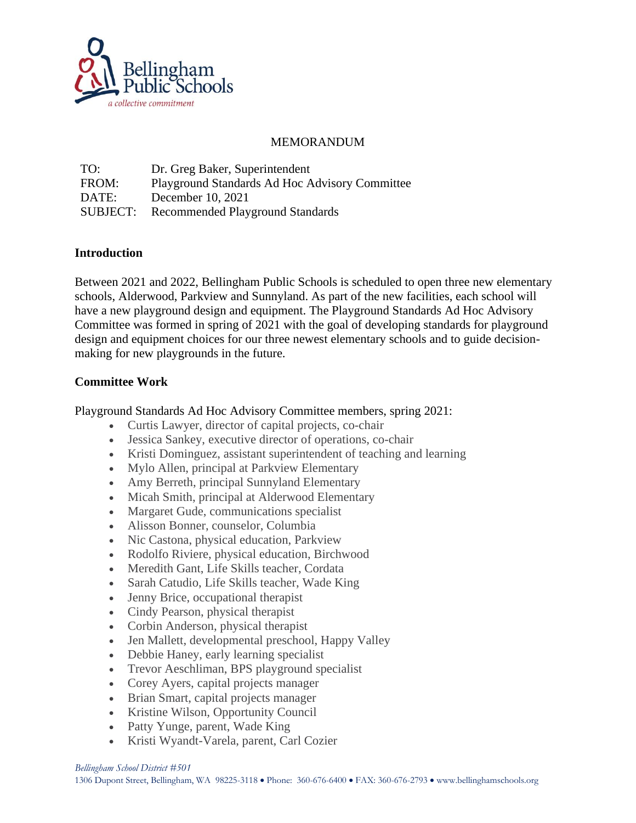

## MEMORANDUM

| TO:      | Dr. Greg Baker, Superintendent                 |
|----------|------------------------------------------------|
| FROM:    | Playground Standards Ad Hoc Advisory Committee |
| DATE:    | December 10, 2021                              |
| SUBJECT: | Recommended Playground Standards               |

## **Introduction**

Between 2021 and 2022, Bellingham Public Schools is scheduled to open three new elementary schools, Alderwood, Parkview and Sunnyland. As part of the new facilities, each school will have a new playground design and equipment. The Playground Standards Ad Hoc Advisory Committee was formed in spring of 2021 with the goal of developing standards for playground design and equipment choices for our three newest elementary schools and to guide decisionmaking for new playgrounds in the future.

## **Committee Work**

Playground Standards Ad Hoc Advisory Committee members, spring 2021:

- Curtis Lawyer, director of capital projects, co-chair
- Jessica Sankey, executive director of operations, co-chair
- Kristi Dominguez, assistant superintendent of teaching and learning
- Mylo Allen, principal at Parkview Elementary
- Amy Berreth, principal Sunnyland Elementary
- Micah Smith, principal at Alderwood Elementary
- Margaret Gude, communications specialist
- Alisson Bonner, counselor, Columbia
- Nic Castona, physical education, Parkview
- Rodolfo Riviere, physical education, Birchwood
- Meredith Gant, Life Skills teacher, Cordata
- Sarah Catudio, Life Skills teacher, Wade King
- Jenny Brice, occupational therapist
- Cindy Pearson, physical therapist
- Corbin Anderson, physical therapist
- Jen Mallett, developmental preschool, Happy Valley
- Debbie Haney, early learning specialist
- Trevor Aeschliman, BPS playground specialist
- Corey Ayers, capital projects manager
- Brian Smart, capital projects manager
- Kristine Wilson, Opportunity Council
- Patty Yunge, parent, Wade King
- Kristi Wyandt-Varela, parent, Carl Cozier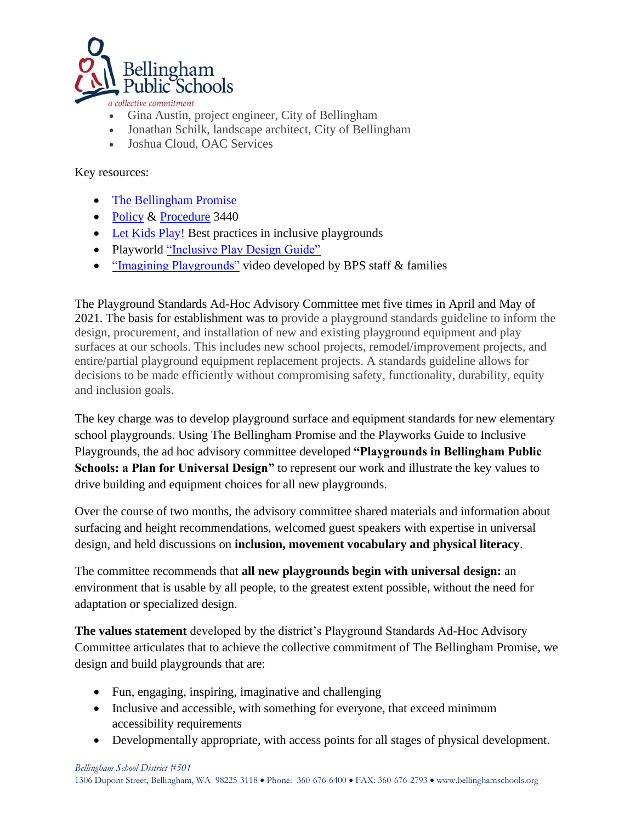

a collective commitment

- Gina Austin, project engineer, City of Bellingham
- Jonathan Schilk, landscape architect, City of Bellingham
- Joshua Cloud, OAC Services

Key resources:

- [The Bellingham Promise](https://bellinghamschools.org/wp-content/uploads/2019/07/TheBellinghamPromise.pdf)
- [Policy](https://bellinghamschools.org/policies/3440-policy/) & [Procedure](https://bellinghamschools.org/procedures/3440-procedure/) 3440
- [Let Kids Play!](https://www.accessibleplayground.net/?doing_wp_cron=1638485985.4896678924560546875000) Best practices in inclusive playgrounds
- Playworld ["Inclusive Play Design Guide"](https://playworld.com/inclusive-play#gref)
- ["Imagining Playgrounds"](https://bellinghamps.wistia.com/medias/ok6vakjguq) video developed by BPS staff & families

The Playground Standards Ad-Hoc Advisory Committee met five times in April and May of 2021. The basis for establishment was to provide a playground standards guideline to inform the design, procurement, and installation of new and existing playground equipment and play surfaces at our schools. This includes new school projects, remodel/improvement projects, and entire/partial playground equipment replacement projects. A standards guideline allows for decisions to be made efficiently without compromising safety, functionality, durability, equity and inclusion goals.

The key charge was to develop playground surface and equipment standards for new elementary school playgrounds. Using The Bellingham Promise and the Playworks Guide to Inclusive Playgrounds, the ad hoc advisory committee developed **"Playgrounds in Bellingham Public Schools: a Plan for Universal Design"** to represent our work and illustrate the key values to drive building and equipment choices for all new playgrounds.

Over the course of two months, the advisory committee shared materials and information about surfacing and height recommendations, welcomed guest speakers with expertise in universal design, and held discussions on **inclusion, movement vocabulary and physical literacy**.

The committee recommends that **all new playgrounds begin with universal design:** an environment that is usable by all people, to the greatest extent possible, without the need for adaptation or specialized design.

**The values statement** developed by the district's Playground Standards Ad-Hoc Advisory Committee articulates that to achieve the collective commitment of The Bellingham Promise, we design and build playgrounds that are:

- Fun, engaging, inspiring, imaginative and challenging
- Inclusive and accessible, with something for everyone, that exceed minimum accessibility requirements
- Developmentally appropriate, with access points for all stages of physical development.